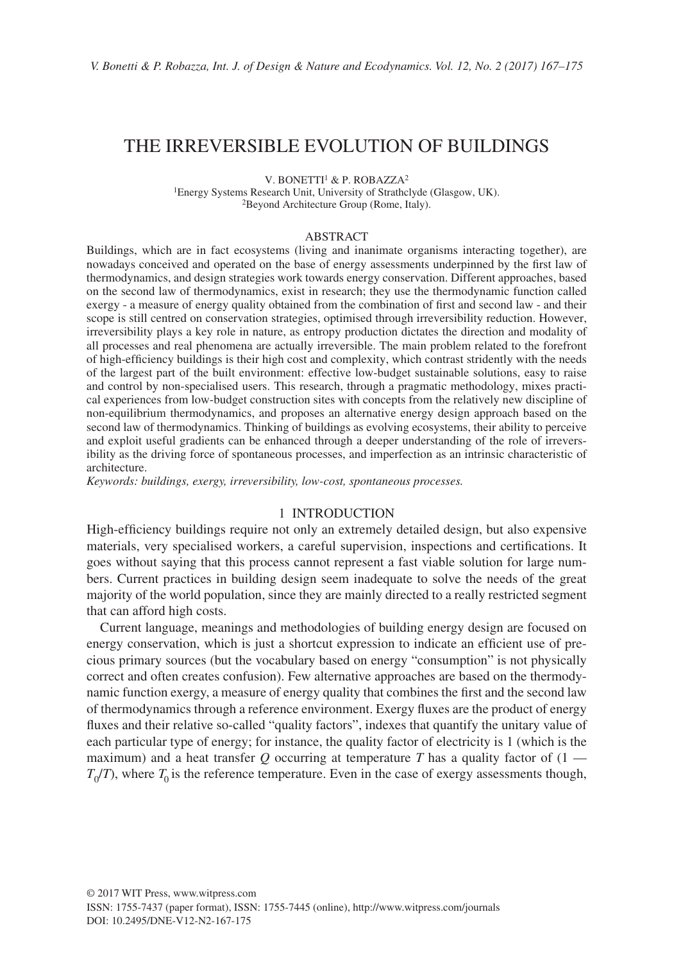# THE IRREVERSIBLE EVOLUTION OF BUILDINGS

V. BONETTI<sup>1</sup> & P. ROBAZZA<sup>2</sup>

1Energy Systems Research Unit, University of Strathclyde (Glasgow, UK). 2Beyond Architecture Group (Rome, Italy).

#### ABSTRACT

Buildings, which are in fact ecosystems (living and inanimate organisms interacting together), are nowadays conceived and operated on the base of energy assessments underpinned by the first law of thermodynamics, and design strategies work towards energy conservation. Different approaches, based on the second law of thermodynamics, exist in research; they use the thermodynamic function called exergy - a measure of energy quality obtained from the combination of first and second law - and their scope is still centred on conservation strategies, optimised through irreversibility reduction. However, irreversibility plays a key role in nature, as entropy production dictates the direction and modality of all processes and real phenomena are actually irreversible. The main problem related to the forefront of high-efficiency buildings is their high cost and complexity, which contrast stridently with the needs of the largest part of the built environment: effective low-budget sustainable solutions, easy to raise and control by non-specialised users. This research, through a pragmatic methodology, mixes practical experiences from low-budget construction sites with concepts from the relatively new discipline of non-equilibrium thermodynamics, and proposes an alternative energy design approach based on the second law of thermodynamics. Thinking of buildings as evolving ecosystems, their ability to perceive and exploit useful gradients can be enhanced through a deeper understanding of the role of irreversibility as the driving force of spontaneous processes, and imperfection as an intrinsic characteristic of architecture.

*Keywords: buildings, exergy, irreversibility, low-cost, spontaneous processes.*

#### 1 INTRODUCTION

High-efficiency buildings require not only an extremely detailed design, but also expensive materials, very specialised workers, a careful supervision, inspections and certifications. It goes without saying that this process cannot represent a fast viable solution for large numbers. Current practices in building design seem inadequate to solve the needs of the great majority of the world population, since they are mainly directed to a really restricted segment that can afford high costs.

Current language, meanings and methodologies of building energy design are focused on energy conservation, which is just a shortcut expression to indicate an efficient use of precious primary sources (but the vocabulary based on energy "consumption" is not physically correct and often creates confusion). Few alternative approaches are based on the thermodynamic function exergy, a measure of energy quality that combines the first and the second law of thermodynamics through a reference environment. Exergy fluxes are the product of energy fluxes and their relative so-called "quality factors", indexes that quantify the unitary value of each particular type of energy; for instance, the quality factor of electricity is 1 (which is the maximum) and a heat transfer  $Q$  occurring at temperature  $T$  has a quality factor of  $(1 T_0/T$ ), where  $T_0$  is the reference temperature. Even in the case of exergy assessments though,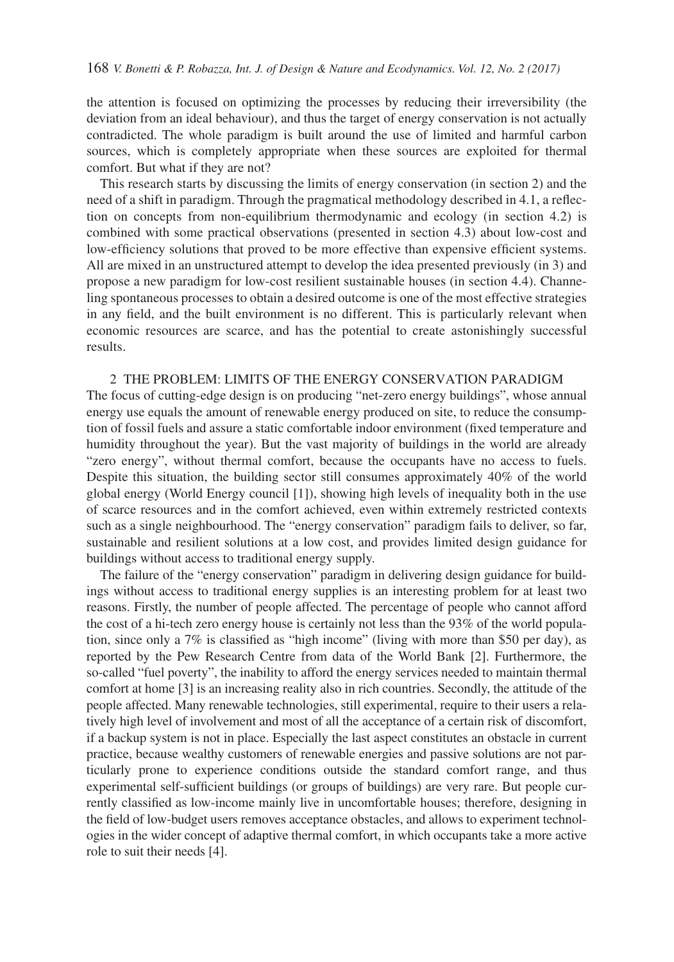the attention is focused on optimizing the processes by reducing their irreversibility (the deviation from an ideal behaviour), and thus the target of energy conservation is not actually contradicted. The whole paradigm is built around the use of limited and harmful carbon sources, which is completely appropriate when these sources are exploited for thermal comfort. But what if they are not?

This research starts by discussing the limits of energy conservation (in section 2) and the need of a shift in paradigm. Through the pragmatical methodology described in 4.1, a reflection on concepts from non-equilibrium thermodynamic and ecology (in section 4.2) is combined with some practical observations (presented in section 4.3) about low-cost and low-efficiency solutions that proved to be more effective than expensive efficient systems. All are mixed in an unstructured attempt to develop the idea presented previously (in 3) and propose a new paradigm for low-cost resilient sustainable houses (in section 4.4). Channeling spontaneous processes to obtain a desired outcome is one of the most effective strategies in any field, and the built environment is no different. This is particularly relevant when economic resources are scarce, and has the potential to create astonishingly successful results.

## 2 THE PROBLEM: LIMITS OF THE ENERGY CONSERVATION PARADIGM The focus of cutting-edge design is on producing "net-zero energy buildings", whose annual energy use equals the amount of renewable energy produced on site, to reduce the consumption of fossil fuels and assure a static comfortable indoor environment (fixed temperature and humidity throughout the year). But the vast majority of buildings in the world are already "zero energy", without thermal comfort, because the occupants have no access to fuels. Despite this situation, the building sector still consumes approximately 40% of the world global energy (World Energy council [1]), showing high levels of inequality both in the use of scarce resources and in the comfort achieved, even within extremely restricted contexts such as a single neighbourhood. The "energy conservation" paradigm fails to deliver, so far, sustainable and resilient solutions at a low cost, and provides limited design guidance for buildings without access to traditional energy supply.

The failure of the "energy conservation" paradigm in delivering design guidance for buildings without access to traditional energy supplies is an interesting problem for at least two reasons. Firstly, the number of people affected. The percentage of people who cannot afford the cost of a hi-tech zero energy house is certainly not less than the 93% of the world population, since only a 7% is classified as "high income" (living with more than \$50 per day), as reported by the Pew Research Centre from data of the World Bank [2]. Furthermore, the so-called "fuel poverty", the inability to afford the energy services needed to maintain thermal comfort at home [3] is an increasing reality also in rich countries. Secondly, the attitude of the people affected. Many renewable technologies, still experimental, require to their users a relatively high level of involvement and most of all the acceptance of a certain risk of discomfort, if a backup system is not in place. Especially the last aspect constitutes an obstacle in current practice, because wealthy customers of renewable energies and passive solutions are not particularly prone to experience conditions outside the standard comfort range, and thus experimental self-sufficient buildings (or groups of buildings) are very rare. But people currently classified as low-income mainly live in uncomfortable houses; therefore, designing in the field of low-budget users removes acceptance obstacles, and allows to experiment technologies in the wider concept of adaptive thermal comfort, in which occupants take a more active role to suit their needs [4].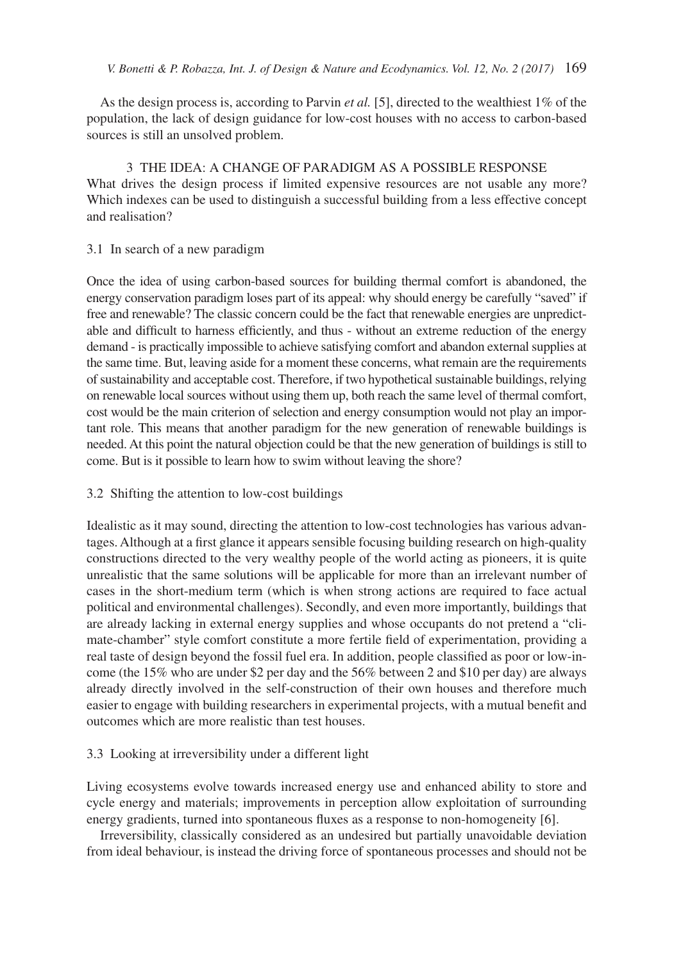As the design process is, according to Parvin *et al.* [5], directed to the wealthiest 1% of the population, the lack of design guidance for low-cost houses with no access to carbon-based sources is still an unsolved problem.

3 THE IDEA: A CHANGE OF PARADIGM AS A POSSIBLE RESPONSE What drives the design process if limited expensive resources are not usable any more? Which indexes can be used to distinguish a successful building from a less effective concept and realisation?

3.1 In search of a new paradigm

Once the idea of using carbon-based sources for building thermal comfort is abandoned, the energy conservation paradigm loses part of its appeal: why should energy be carefully "saved" if free and renewable? The classic concern could be the fact that renewable energies are unpredictable and difficult to harness efficiently, and thus - without an extreme reduction of the energy demand - is practically impossible to achieve satisfying comfort and abandon external supplies at the same time. But, leaving aside for a moment these concerns, what remain are the requirements of sustainability and acceptable cost. Therefore, if two hypothetical sustainable buildings, relying on renewable local sources without using them up, both reach the same level of thermal comfort, cost would be the main criterion of selection and energy consumption would not play an important role. This means that another paradigm for the new generation of renewable buildings is needed. At this point the natural objection could be that the new generation of buildings is still to come. But is it possible to learn how to swim without leaving the shore?

## 3.2 Shifting the attention to low-cost buildings

Idealistic as it may sound, directing the attention to low-cost technologies has various advantages. Although at a first glance it appears sensible focusing building research on high-quality constructions directed to the very wealthy people of the world acting as pioneers, it is quite unrealistic that the same solutions will be applicable for more than an irrelevant number of cases in the short-medium term (which is when strong actions are required to face actual political and environmental challenges). Secondly, and even more importantly, buildings that are already lacking in external energy supplies and whose occupants do not pretend a "climate-chamber" style comfort constitute a more fertile field of experimentation, providing a real taste of design beyond the fossil fuel era. In addition, people classified as poor or low-income (the 15% who are under \$2 per day and the 56% between 2 and \$10 per day) are always already directly involved in the self-construction of their own houses and therefore much easier to engage with building researchers in experimental projects, with a mutual benefit and outcomes which are more realistic than test houses.

## 3.3 Looking at irreversibility under a different light

Living ecosystems evolve towards increased energy use and enhanced ability to store and cycle energy and materials; improvements in perception allow exploitation of surrounding energy gradients, turned into spontaneous fluxes as a response to non-homogeneity [6].

Irreversibility, classically considered as an undesired but partially unavoidable deviation from ideal behaviour, is instead the driving force of spontaneous processes and should not be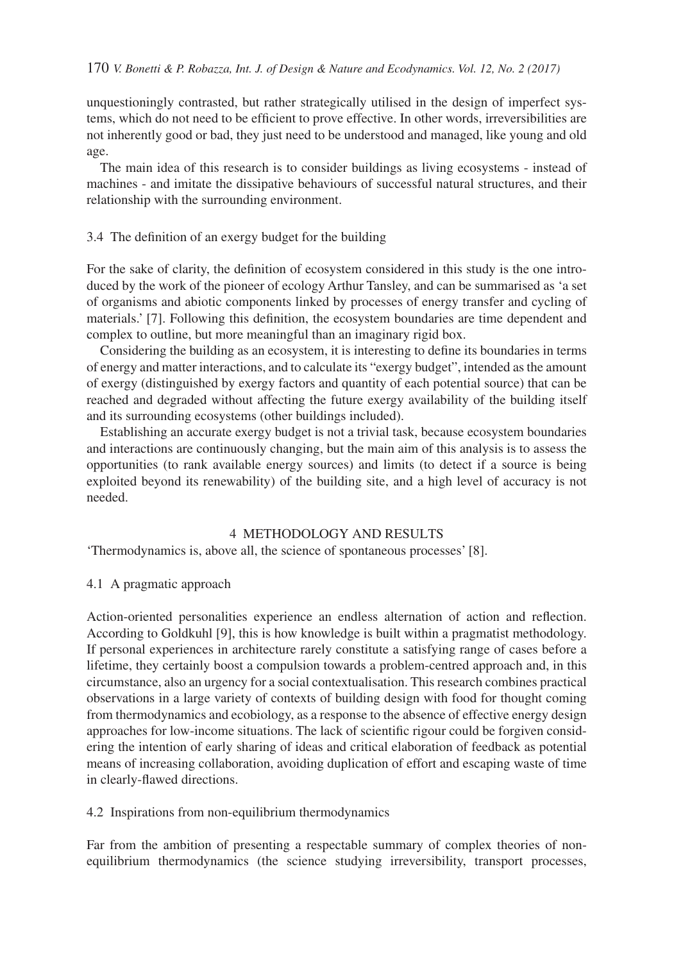unquestioningly contrasted, but rather strategically utilised in the design of imperfect systems, which do not need to be efficient to prove effective. In other words, irreversibilities are not inherently good or bad, they just need to be understood and managed, like young and old age.

The main idea of this research is to consider buildings as living ecosystems - instead of machines - and imitate the dissipative behaviours of successful natural structures, and their relationship with the surrounding environment.

### 3.4 The definition of an exergy budget for the building

For the sake of clarity, the definition of ecosystem considered in this study is the one introduced by the work of the pioneer of ecology Arthur Tansley, and can be summarised as 'a set of organisms and abiotic components linked by processes of energy transfer and cycling of materials.' [7]. Following this definition, the ecosystem boundaries are time dependent and complex to outline, but more meaningful than an imaginary rigid box.

Considering the building as an ecosystem, it is interesting to define its boundaries in terms of energy and matter interactions, and to calculate its "exergy budget", intended as the amount of exergy (distinguished by exergy factors and quantity of each potential source) that can be reached and degraded without affecting the future exergy availability of the building itself and its surrounding ecosystems (other buildings included).

Establishing an accurate exergy budget is not a trivial task, because ecosystem boundaries and interactions are continuously changing, but the main aim of this analysis is to assess the opportunities (to rank available energy sources) and limits (to detect if a source is being exploited beyond its renewability) of the building site, and a high level of accuracy is not needed.

#### 4 METHODOLOGY AND RESULTS

'Thermodynamics is, above all, the science of spontaneous processes' [8].

### 4.1 A pragmatic approach

Action-oriented personalities experience an endless alternation of action and reflection. According to Goldkuhl [9], this is how knowledge is built within a pragmatist methodology. If personal experiences in architecture rarely constitute a satisfying range of cases before a lifetime, they certainly boost a compulsion towards a problem-centred approach and, in this circumstance, also an urgency for a social contextualisation. This research combines practical observations in a large variety of contexts of building design with food for thought coming from thermodynamics and ecobiology, as a response to the absence of effective energy design approaches for low-income situations. The lack of scientific rigour could be forgiven considering the intention of early sharing of ideas and critical elaboration of feedback as potential means of increasing collaboration, avoiding duplication of effort and escaping waste of time in clearly-flawed directions.

### 4.2 Inspirations from non-equilibrium thermodynamics

Far from the ambition of presenting a respectable summary of complex theories of nonequilibrium thermodynamics (the science studying irreversibility, transport processes,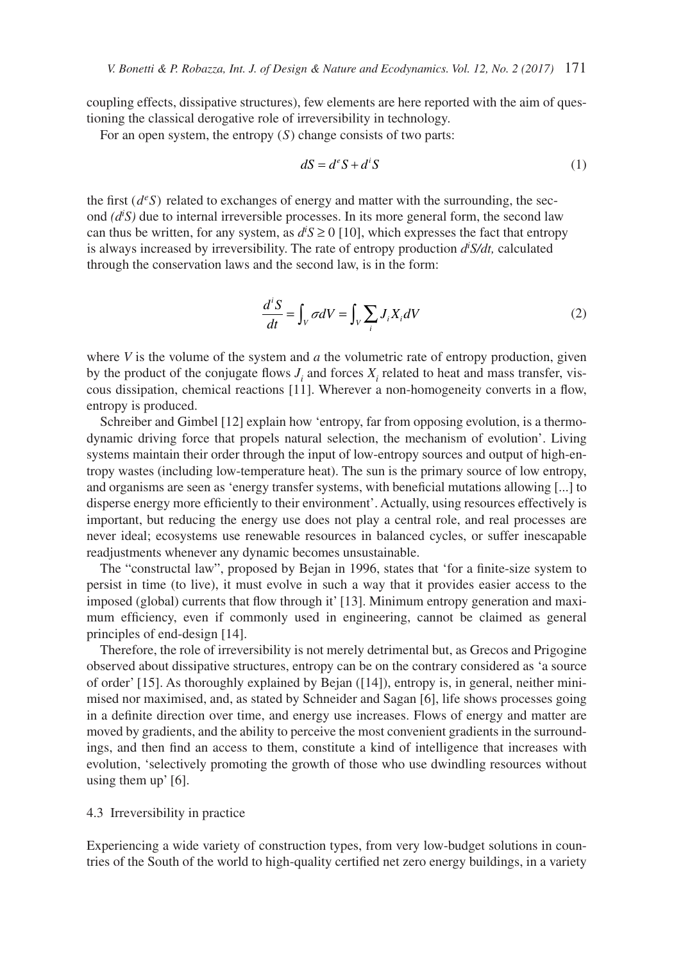coupling effects, dissipative structures), few elements are here reported with the aim of questioning the classical derogative role of irreversibility in technology.

For an open system, the entropy (*S*) change consists of two parts:

$$
dS = d^e S + d^i S \tag{1}
$$

the first  $(d<sup>e</sup>S)$  related to exchanges of energy and matter with the surrounding, the second *(di S)* due to internal irreversible processes. In its more general form, the second law can thus be written, for any system, as  $d \dot{S} \ge 0$  [10], which expresses the fact that entropy is always increased by irreversibility. The rate of entropy production *di S/dt,* calculated through the conservation laws and the second law, is in the form:

$$
\frac{d^i S}{dt} = \int_V \sigma dV = \int_V \sum_i J_i X_i dV
$$
 (2)

where *V* is the volume of the system and *a* the volumetric rate of entropy production, given by the product of the conjugate flows  $J_i$  and forces  $X_i$  related to heat and mass transfer, viscous dissipation, chemical reactions [11]. Wherever a non-homogeneity converts in a flow, entropy is produced.

Schreiber and Gimbel [12] explain how 'entropy, far from opposing evolution, is a thermodynamic driving force that propels natural selection, the mechanism of evolution'. Living systems maintain their order through the input of low-entropy sources and output of high-entropy wastes (including low-temperature heat). The sun is the primary source of low entropy, and organisms are seen as 'energy transfer systems, with beneficial mutations allowing [...] to disperse energy more efficiently to their environment'. Actually, using resources effectively is important, but reducing the energy use does not play a central role, and real processes are never ideal; ecosystems use renewable resources in balanced cycles, or suffer inescapable readjustments whenever any dynamic becomes unsustainable.

The "constructal law", proposed by Bejan in 1996, states that 'for a finite-size system to persist in time (to live), it must evolve in such a way that it provides easier access to the imposed (global) currents that flow through it' [13]. Minimum entropy generation and maximum efficiency, even if commonly used in engineering, cannot be claimed as general principles of end-design [14].

Therefore, the role of irreversibility is not merely detrimental but, as Grecos and Prigogine observed about dissipative structures, entropy can be on the contrary considered as 'a source of order' [15]. As thoroughly explained by Bejan ([14]), entropy is, in general, neither minimised nor maximised, and, as stated by Schneider and Sagan [6], life shows processes going in a definite direction over time, and energy use increases. Flows of energy and matter are moved by gradients, and the ability to perceive the most convenient gradients in the surroundings, and then find an access to them, constitute a kind of intelligence that increases with evolution, 'selectively promoting the growth of those who use dwindling resources without using them up' [6].

#### 4.3 Irreversibility in practice

Experiencing a wide variety of construction types, from very low-budget solutions in countries of the South of the world to high-quality certified net zero energy buildings, in a variety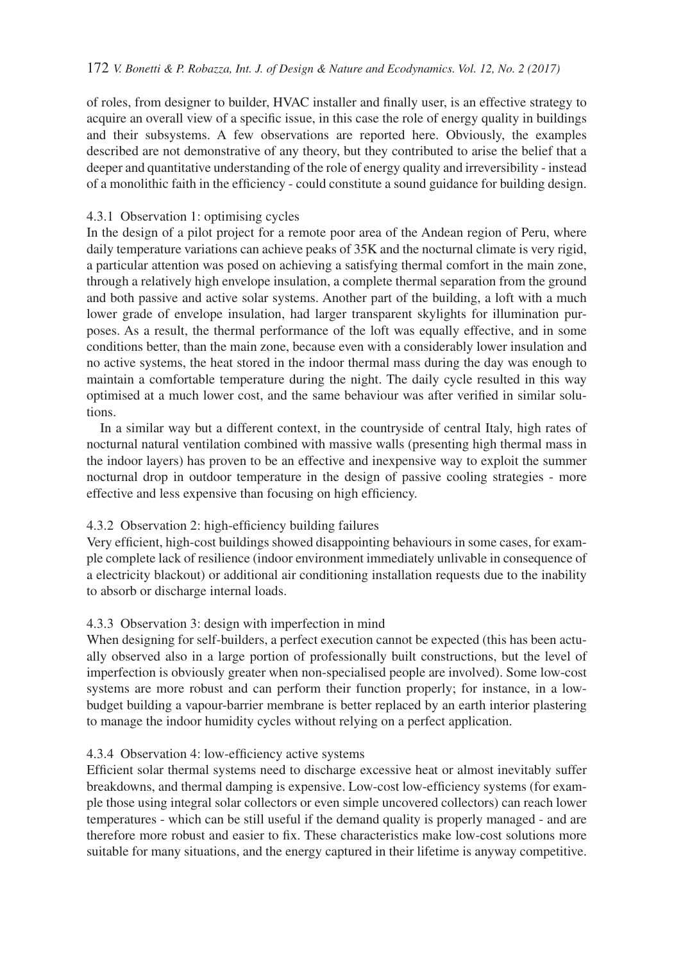#### 172 *V. Bonetti & P. Robazza, Int. J. of Design & Nature and Ecodynamics. Vol. 12, No. 2 (2017)*

of roles, from designer to builder, HVAC installer and finally user, is an effective strategy to acquire an overall view of a specific issue, in this case the role of energy quality in buildings and their subsystems. A few observations are reported here. Obviously, the examples described are not demonstrative of any theory, but they contributed to arise the belief that a deeper and quantitative understanding of the role of energy quality and irreversibility - instead of a monolithic faith in the efficiency - could constitute a sound guidance for building design.

### 4.3.1 Observation 1: optimising cycles

In the design of a pilot project for a remote poor area of the Andean region of Peru, where daily temperature variations can achieve peaks of 35K and the nocturnal climate is very rigid, a particular attention was posed on achieving a satisfying thermal comfort in the main zone, through a relatively high envelope insulation, a complete thermal separation from the ground and both passive and active solar systems. Another part of the building, a loft with a much lower grade of envelope insulation, had larger transparent skylights for illumination purposes. As a result, the thermal performance of the loft was equally effective, and in some conditions better, than the main zone, because even with a considerably lower insulation and no active systems, the heat stored in the indoor thermal mass during the day was enough to maintain a comfortable temperature during the night. The daily cycle resulted in this way optimised at a much lower cost, and the same behaviour was after verified in similar solutions.

In a similar way but a different context, in the countryside of central Italy, high rates of nocturnal natural ventilation combined with massive walls (presenting high thermal mass in the indoor layers) has proven to be an effective and inexpensive way to exploit the summer nocturnal drop in outdoor temperature in the design of passive cooling strategies - more effective and less expensive than focusing on high efficiency.

## 4.3.2 Observation 2: high-efficiency building failures

Very efficient, high-cost buildings showed disappointing behaviours in some cases, for example complete lack of resilience (indoor environment immediately unlivable in consequence of a electricity blackout) or additional air conditioning installation requests due to the inability to absorb or discharge internal loads.

## 4.3.3 Observation 3: design with imperfection in mind

When designing for self-builders, a perfect execution cannot be expected (this has been actually observed also in a large portion of professionally built constructions, but the level of imperfection is obviously greater when non-specialised people are involved). Some low-cost systems are more robust and can perform their function properly; for instance, in a lowbudget building a vapour-barrier membrane is better replaced by an earth interior plastering to manage the indoor humidity cycles without relying on a perfect application.

### 4.3.4 Observation 4: low-efficiency active systems

Efficient solar thermal systems need to discharge excessive heat or almost inevitably suffer breakdowns, and thermal damping is expensive. Low-cost low-efficiency systems (for example those using integral solar collectors or even simple uncovered collectors) can reach lower temperatures - which can be still useful if the demand quality is properly managed - and are therefore more robust and easier to fix. These characteristics make low-cost solutions more suitable for many situations, and the energy captured in their lifetime is anyway competitive.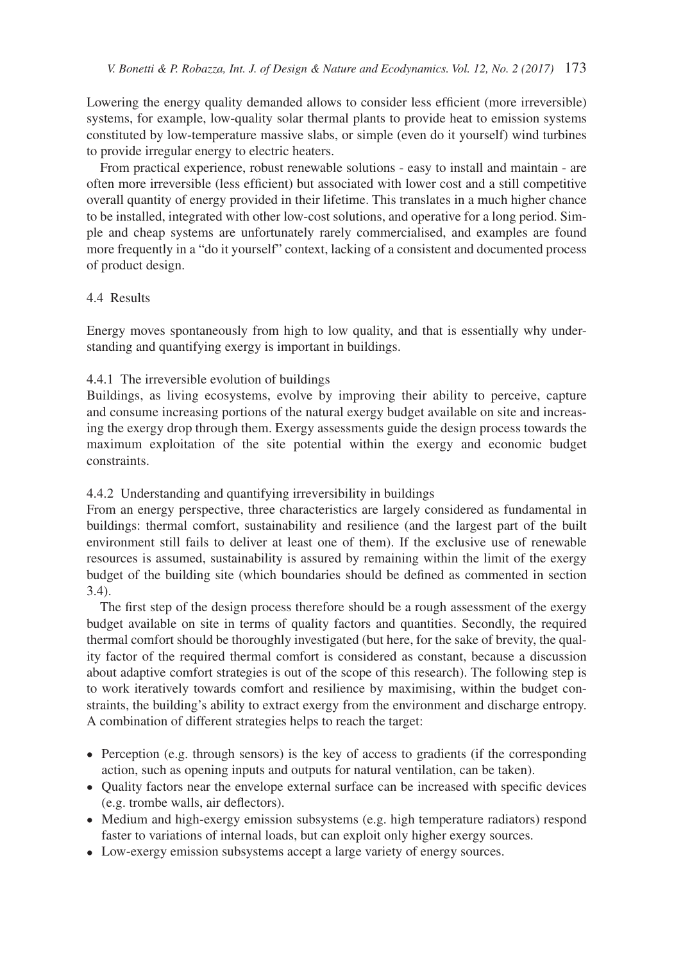Lowering the energy quality demanded allows to consider less efficient (more irreversible) systems, for example, low-quality solar thermal plants to provide heat to emission systems constituted by low-temperature massive slabs, or simple (even do it yourself) wind turbines to provide irregular energy to electric heaters.

From practical experience, robust renewable solutions - easy to install and maintain - are often more irreversible (less efficient) but associated with lower cost and a still competitive overall quantity of energy provided in their lifetime. This translates in a much higher chance to be installed, integrated with other low-cost solutions, and operative for a long period. Simple and cheap systems are unfortunately rarely commercialised, and examples are found more frequently in a "do it yourself" context, lacking of a consistent and documented process of product design.

### 4.4 Results

Energy moves spontaneously from high to low quality, and that is essentially why understanding and quantifying exergy is important in buildings.

### 4.4.1 The irreversible evolution of buildings

Buildings, as living ecosystems, evolve by improving their ability to perceive, capture and consume increasing portions of the natural exergy budget available on site and increasing the exergy drop through them. Exergy assessments guide the design process towards the maximum exploitation of the site potential within the exergy and economic budget constraints.

## 4.4.2 Understanding and quantifying irreversibility in buildings

From an energy perspective, three characteristics are largely considered as fundamental in buildings: thermal comfort, sustainability and resilience (and the largest part of the built environment still fails to deliver at least one of them). If the exclusive use of renewable resources is assumed, sustainability is assured by remaining within the limit of the exergy budget of the building site (which boundaries should be defined as commented in section 3.4).

The first step of the design process therefore should be a rough assessment of the exergy budget available on site in terms of quality factors and quantities. Secondly, the required thermal comfort should be thoroughly investigated (but here, for the sake of brevity, the quality factor of the required thermal comfort is considered as constant, because a discussion about adaptive comfort strategies is out of the scope of this research). The following step is to work iteratively towards comfort and resilience by maximising, within the budget constraints, the building's ability to extract exergy from the environment and discharge entropy. A combination of different strategies helps to reach the target:

- Perception (e.g. through sensors) is the key of access to gradients (if the corresponding action, such as opening inputs and outputs for natural ventilation, can be taken).
- Quality factors near the envelope external surface can be increased with specific devices (e.g. trombe walls, air deflectors).
- Medium and high-exergy emission subsystems (e.g. high temperature radiators) respond faster to variations of internal loads, but can exploit only higher exergy sources.
- Low-exergy emission subsystems accept a large variety of energy sources.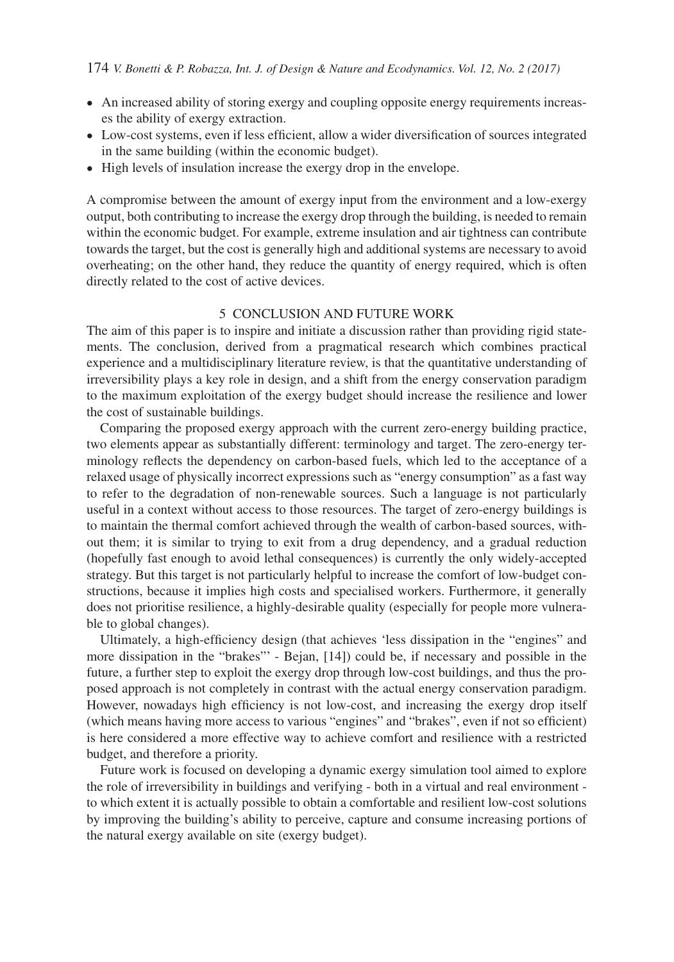- An increased ability of storing exergy and coupling opposite energy requirements increases the ability of exergy extraction.
- Low-cost systems, even if less efficient, allow a wider diversification of sources integrated in the same building (within the economic budget).
- High levels of insulation increase the exergy drop in the envelope.

A compromise between the amount of exergy input from the environment and a low-exergy output, both contributing to increase the exergy drop through the building, is needed to remain within the economic budget. For example, extreme insulation and air tightness can contribute towards the target, but the cost is generally high and additional systems are necessary to avoid overheating; on the other hand, they reduce the quantity of energy required, which is often directly related to the cost of active devices.

#### 5 CONCLUSION AND FUTURE WORK

The aim of this paper is to inspire and initiate a discussion rather than providing rigid statements. The conclusion, derived from a pragmatical research which combines practical experience and a multidisciplinary literature review, is that the quantitative understanding of irreversibility plays a key role in design, and a shift from the energy conservation paradigm to the maximum exploitation of the exergy budget should increase the resilience and lower the cost of sustainable buildings.

Comparing the proposed exergy approach with the current zero-energy building practice, two elements appear as substantially different: terminology and target. The zero-energy terminology reflects the dependency on carbon-based fuels, which led to the acceptance of a relaxed usage of physically incorrect expressions such as "energy consumption" as a fast way to refer to the degradation of non-renewable sources. Such a language is not particularly useful in a context without access to those resources. The target of zero-energy buildings is to maintain the thermal comfort achieved through the wealth of carbon-based sources, without them; it is similar to trying to exit from a drug dependency, and a gradual reduction (hopefully fast enough to avoid lethal consequences) is currently the only widely-accepted strategy. But this target is not particularly helpful to increase the comfort of low-budget constructions, because it implies high costs and specialised workers. Furthermore, it generally does not prioritise resilience, a highly-desirable quality (especially for people more vulnerable to global changes).

Ultimately, a high-efficiency design (that achieves 'less dissipation in the "engines" and more dissipation in the "brakes"' - Bejan, [14]) could be, if necessary and possible in the future, a further step to exploit the exergy drop through low-cost buildings, and thus the proposed approach is not completely in contrast with the actual energy conservation paradigm. However, nowadays high efficiency is not low-cost, and increasing the exergy drop itself (which means having more access to various "engines" and "brakes", even if not so efficient) is here considered a more effective way to achieve comfort and resilience with a restricted budget, and therefore a priority.

Future work is focused on developing a dynamic exergy simulation tool aimed to explore the role of irreversibility in buildings and verifying - both in a virtual and real environment to which extent it is actually possible to obtain a comfortable and resilient low-cost solutions by improving the building's ability to perceive, capture and consume increasing portions of the natural exergy available on site (exergy budget).